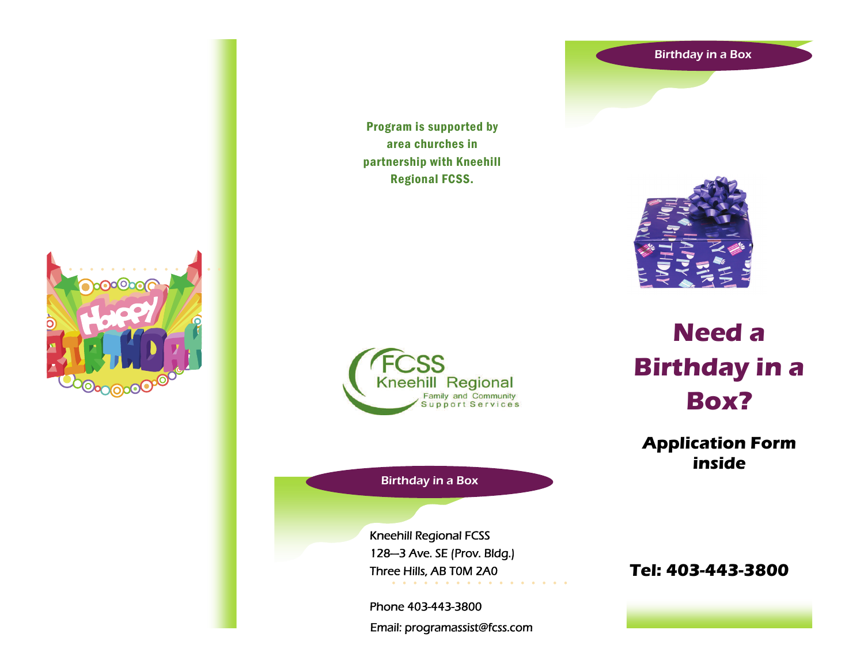#### Birthday in a Box



Program is supported by area churches in partnership with Kneehill Regional FCSS.



Birthday in a Box

Kneehill Regional FCSS 128—3 Ave. SE (Prov. Bldg.) Three Hills, AB T0M 2A0

Phone 403-443-3800 Email: programassist@fcss.com



**Need a Birthday in a Box?** 

**Application Form inside** 

**Tel: 403-443-3800**